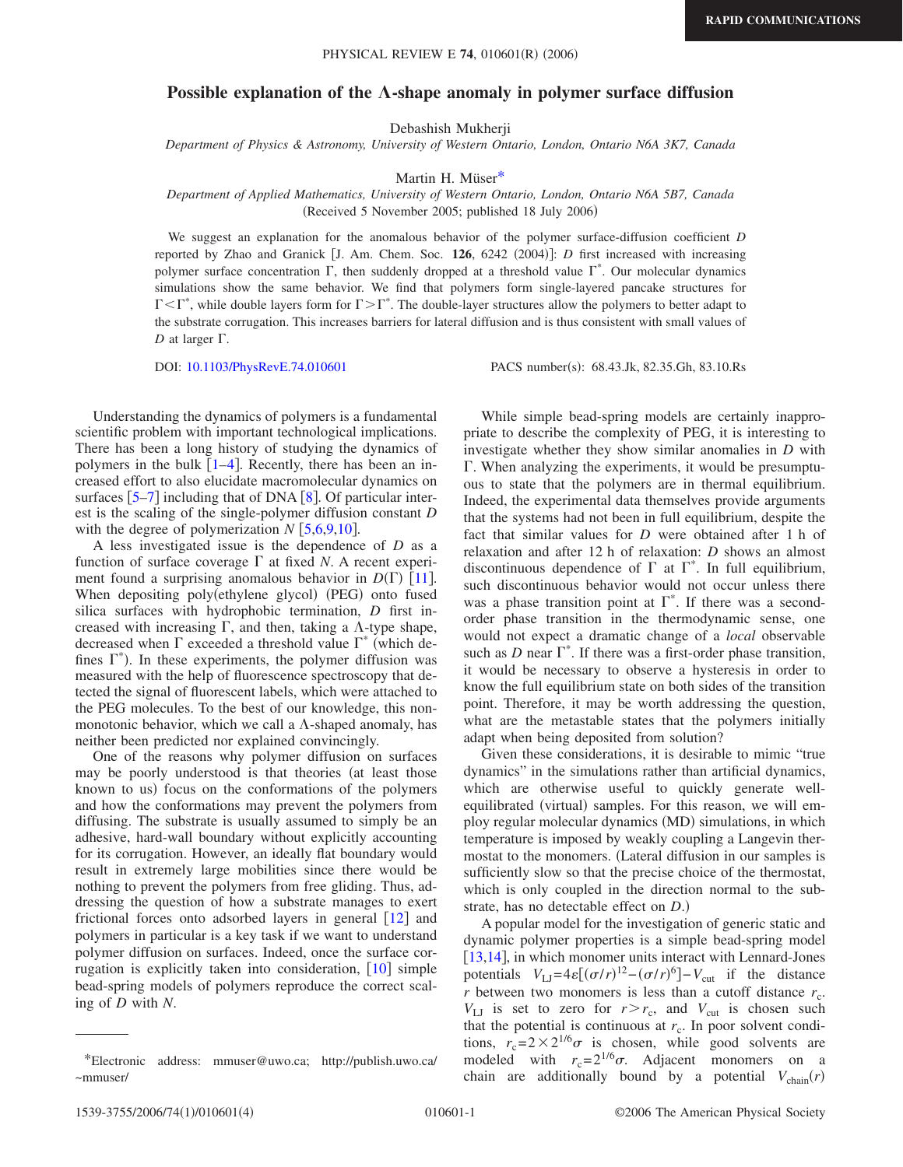**RAPID COMMUNICATIONS**

## PHYSICAL REVIEW E 74, 010601(R) (2006)

## **Possible explanation of the**  $\Lambda$ **-shape anomaly in polymer surface diffusion**

Debashish Mukherji

*Department of Physics & Astronomy, University of Western Ontario, London, Ontario N6A 3K7, Canada*

Martin H. Müse[r\\*](#page-0-0)

## *Department of Applied Mathematics, University of Western Ontario, London, Ontario N6A 5B7, Canada* (Received 5 November 2005; published 18 July 2006)

We suggest an explanation for the anomalous behavior of the polymer surface-diffusion coefficient *D* reported by Zhao and Granick [J. Am. Chem. Soc. 126, 6242 (2004)]: *D* first increased with increasing polymer surface concentration  $\Gamma$ , then suddenly dropped at a threshold value  $\Gamma^*$ . Our molecular dynamics simulations show the same behavior. We find that polymers form single-layered pancake structures for  $\Gamma \leq \Gamma^*$ , while double layers form for  $\Gamma \geq \Gamma^*$ . The double-layer structures allow the polymers to better adapt to the substrate corrugation. This increases barriers for lateral diffusion and is thus consistent with small values of  $D$  at larger  $\Gamma$ .

DOI: [10.1103/PhysRevE.74.010601](http://dx.doi.org/10.1103/PhysRevE.74.010601)

PACS number(s): 68.43.Jk, 82.35.Gh, 83.10.Rs

Understanding the dynamics of polymers is a fundamental scientific problem with important technological implications. There has been a long history of studying the dynamics of polymers in the bulk  $[1-4]$  $[1-4]$  $[1-4]$ . Recently, there has been an increased effort to also elucidate macromolecular dynamics on surfaces  $\lceil 5-7 \rceil$  $\lceil 5-7 \rceil$  $\lceil 5-7 \rceil$  including that of DNA  $\lceil 8 \rceil$  $\lceil 8 \rceil$  $\lceil 8 \rceil$ . Of particular interest is the scaling of the single-polymer diffusion constant *D* with the degree of polymerization  $N$  [[5](#page-3-2)[,6](#page-3-5)[,9](#page-3-6)[,10](#page-3-7)].

A less investigated issue is the dependence of *D* as a function of surface coverage  $\Gamma$  at fixed *N*. A recent experiment found a surprising anomalous behavior in  $D(\Gamma)$  [[11](#page-3-8)]. When depositing poly(ethylene glycol) (PEG) onto fused silica surfaces with hydrophobic termination, *D* first increased with increasing  $\Gamma$ , and then, taking a  $\Lambda$ -type shape, decreased when  $\Gamma$  exceeded a threshold value  $\Gamma^*$  (which defines  $\Gamma^*$ ). In these experiments, the polymer diffusion was measured with the help of fluorescence spectroscopy that detected the signal of fluorescent labels, which were attached to the PEG molecules. To the best of our knowledge, this nonmonotonic behavior, which we call a  $\Lambda$ -shaped anomaly, has neither been predicted nor explained convincingly.

One of the reasons why polymer diffusion on surfaces may be poorly understood is that theories (at least those known to us) focus on the conformations of the polymers and how the conformations may prevent the polymers from diffusing. The substrate is usually assumed to simply be an adhesive, hard-wall boundary without explicitly accounting for its corrugation. However, an ideally flat boundary would result in extremely large mobilities since there would be nothing to prevent the polymers from free gliding. Thus, addressing the question of how a substrate manages to exert frictional forces onto adsorbed layers in general  $\lceil 12 \rceil$  $\lceil 12 \rceil$  $\lceil 12 \rceil$  and polymers in particular is a key task if we want to understand polymer diffusion on surfaces. Indeed, once the surface corrugation is explicitly taken into consideration,  $[10]$  $[10]$  $[10]$  simple bead-spring models of polymers reproduce the correct scaling of *D* with *N*.

While simple bead-spring models are certainly inappropriate to describe the complexity of PEG, it is interesting to investigate whether they show similar anomalies in *D* with . When analyzing the experiments, it would be presumptuous to state that the polymers are in thermal equilibrium. Indeed, the experimental data themselves provide arguments that the systems had not been in full equilibrium, despite the fact that similar values for *D* were obtained after 1 h of relaxation and after 12 h of relaxation: *D* shows an almost discontinuous dependence of  $\Gamma$  at  $\Gamma^*$ . In full equilibrium, such discontinuous behavior would not occur unless there was a phase transition point at  $\Gamma^*$ . If there was a secondorder phase transition in the thermodynamic sense, one would not expect a dramatic change of a *local* observable such as *D* near  $\Gamma^*$ . If there was a first-order phase transition, it would be necessary to observe a hysteresis in order to know the full equilibrium state on both sides of the transition point. Therefore, it may be worth addressing the question, what are the metastable states that the polymers initially adapt when being deposited from solution?

Given these considerations, it is desirable to mimic "true dynamics" in the simulations rather than artificial dynamics, which are otherwise useful to quickly generate wellequilibrated (virtual) samples. For this reason, we will employ regular molecular dynamics (MD) simulations, in which temperature is imposed by weakly coupling a Langevin thermostat to the monomers. Lateral diffusion in our samples is sufficiently slow so that the precise choice of the thermostat, which is only coupled in the direction normal to the substrate, has no detectable effect on *D*.)

A popular model for the investigation of generic static and dynamic polymer properties is a simple bead-spring model [[13](#page-3-10)[,14](#page-3-11)], in which monomer units interact with Lennard-Jones potentials  $V_{\text{LJ}} = 4\varepsilon [(\sigma/r)^{12} - (\sigma/r)^{6}] - V_{\text{cut}}$  if the distance  $r$  between two monomers is less than a cutoff distance  $r_c$ .  $V_{\text{LJ}}$  is set to zero for  $r > r_c$ , and  $V_{\text{cut}}$  is chosen such that the potential is continuous at  $r_c$ . In poor solvent conditions,  $r_c=2\times2^{1/6}\sigma$  is chosen, while good solvents are modeled with  $r_c=2^{1/6}\sigma$ . Adjacent monomers on a chain are additionally bound by a potential  $V_{chain}(r)$ 

<span id="page-0-0"></span><sup>\*</sup>Electronic address: mmuser@uwo.ca; http://publish.uwo.ca/ ~mmuser/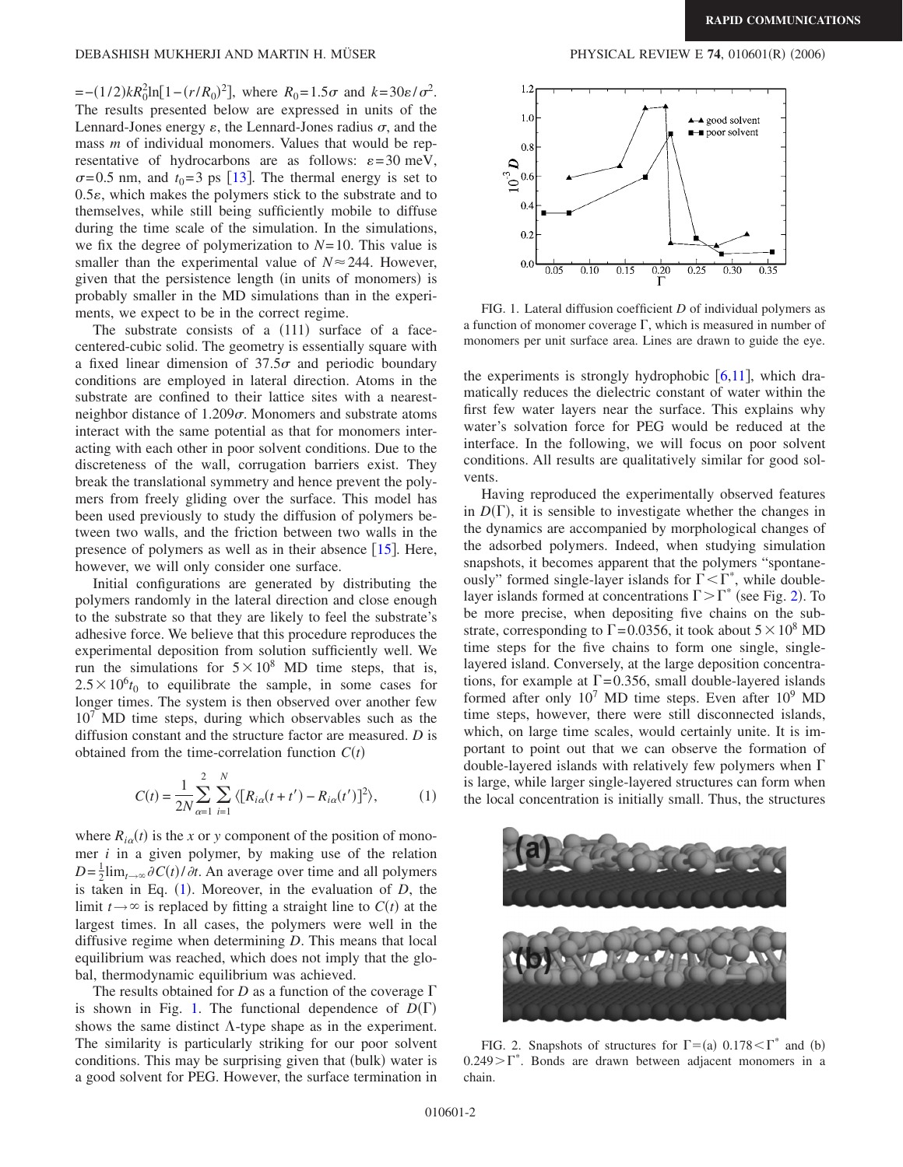$= -(1/2)kR_0^2 \ln[1 - (r/R_0)^2]$ , where  $R_0 = 1.5\sigma$  and  $k = 30\varepsilon/\sigma^2$ . The results presented below are expressed in units of the Lennard-Jones energy  $\varepsilon$ , the Lennard-Jones radius  $\sigma$ , and the mass *m* of individual monomers. Values that would be representative of hydrocarbons are as follows:  $\varepsilon = 30$  meV,  $\sigma$ =0.5 nm, and  $t_0$ =3 ps [[13](#page-3-10)]. The thermal energy is set to  $0.5\varepsilon$ , which makes the polymers stick to the substrate and to themselves, while still being sufficiently mobile to diffuse during the time scale of the simulation. In the simulations, we fix the degree of polymerization to *N*=10. This value is smaller than the experimental value of  $N \approx 244$ . However, given that the persistence length (in units of monomers) is probably smaller in the MD simulations than in the experiments, we expect to be in the correct regime.

The substrate consists of a  $(111)$  surface of a facecentered-cubic solid. The geometry is essentially square with a fixed linear dimension of  $37.5\sigma$  and periodic boundary conditions are employed in lateral direction. Atoms in the substrate are confined to their lattice sites with a nearestneighbor distance of  $1.209\sigma$ . Monomers and substrate atoms interact with the same potential as that for monomers interacting with each other in poor solvent conditions. Due to the discreteness of the wall, corrugation barriers exist. They break the translational symmetry and hence prevent the polymers from freely gliding over the surface. This model has been used previously to study the diffusion of polymers between two walls, and the friction between two walls in the presence of polymers as well as in their absence  $[15]$  $[15]$  $[15]$ . Here, however, we will only consider one surface.

Initial configurations are generated by distributing the polymers randomly in the lateral direction and close enough to the substrate so that they are likely to feel the substrate's adhesive force. We believe that this procedure reproduces the experimental deposition from solution sufficiently well. We run the simulations for  $5\times10^8$  MD time steps, that is,  $2.5 \times 10^{6} t_0$  to equilibrate the sample, in some cases for longer times. The system is then observed over another few  $10<sup>7</sup>$  MD time steps, during which observables such as the diffusion constant and the structure factor are measured. *D* is obtained from the time-correlation function  $C(t)$ 

$$
C(t) = \frac{1}{2N} \sum_{\alpha=1}^{2} \sum_{i=1}^{N} \langle [R_{i\alpha}(t+t') - R_{i\alpha}(t')]^{2} \rangle, \tag{1}
$$

<span id="page-1-0"></span>where  $R_{i\alpha}(t)$  is the *x* or *y* component of the position of monomer *i* in a given polymer, by making use of the relation  $D = \frac{1}{2}$ lim<sub>t→∞</sub>  $\partial C(t)/\partial t$ . An average over time and all polymers is taken in Eq.  $(1)$  $(1)$  $(1)$ . Moreover, in the evaluation of *D*, the limit  $t \rightarrow \infty$  is replaced by fitting a straight line to  $C(t)$  at the largest times. In all cases, the polymers were well in the diffusive regime when determining *D*. This means that local equilibrium was reached, which does not imply that the global, thermodynamic equilibrium was achieved.

The results obtained for *D* as a function of the coverage  $\Gamma$ is shown in Fig. [1.](#page-1-1) The functional dependence of  $D(\Gamma)$ shows the same distinct  $\Lambda$ -type shape as in the experiment. The similarity is particularly striking for our poor solvent conditions. This may be surprising given that (bulk) water is a good solvent for PEG. However, the surface termination in

<span id="page-1-1"></span>

FIG. 1. Lateral diffusion coefficient *D* of individual polymers as a function of monomer coverage  $\Gamma$ , which is measured in number of monomers per unit surface area. Lines are drawn to guide the eye.

the experiments is strongly hydrophobic  $[6,11]$  $[6,11]$  $[6,11]$  $[6,11]$ , which dramatically reduces the dielectric constant of water within the first few water layers near the surface. This explains why water's solvation force for PEG would be reduced at the interface. In the following, we will focus on poor solvent conditions. All results are qualitatively similar for good solvents.

Having reproduced the experimentally observed features in  $D(\Gamma)$ , it is sensible to investigate whether the changes in the dynamics are accompanied by morphological changes of the adsorbed polymers. Indeed, when studying simulation snapshots, it becomes apparent that the polymers "spontaneously" formed single-layer islands for  $\Gamma \leq \Gamma^*$ , while doublelayer islands formed at concentrations  $\Gamma > \Gamma^*$  (see Fig. [2](#page-1-2)). To be more precise, when depositing five chains on the substrate, corresponding to  $\Gamma$  = 0.0356, it took about  $5 \times 10^8$  MD time steps for the five chains to form one single, singlelayered island. Conversely, at the large deposition concentrations, for example at  $\Gamma$ =0.356, small double-layered islands formed after only  $10^7$  MD time steps. Even after  $10^9$  MD time steps, however, there were still disconnected islands, which, on large time scales, would certainly unite. It is important to point out that we can observe the formation of double-layered islands with relatively few polymers when  $\Gamma$ is large, while larger single-layered structures can form when the local concentration is initially small. Thus, the structures

<span id="page-1-2"></span>

FIG. 2. Snapshots of structures for  $\Gamma = (a) \ 0.178 \leq \Gamma^*$  and (b)  $0.249>\Gamma^*$ . Bonds are drawn between adjacent monomers in a chain.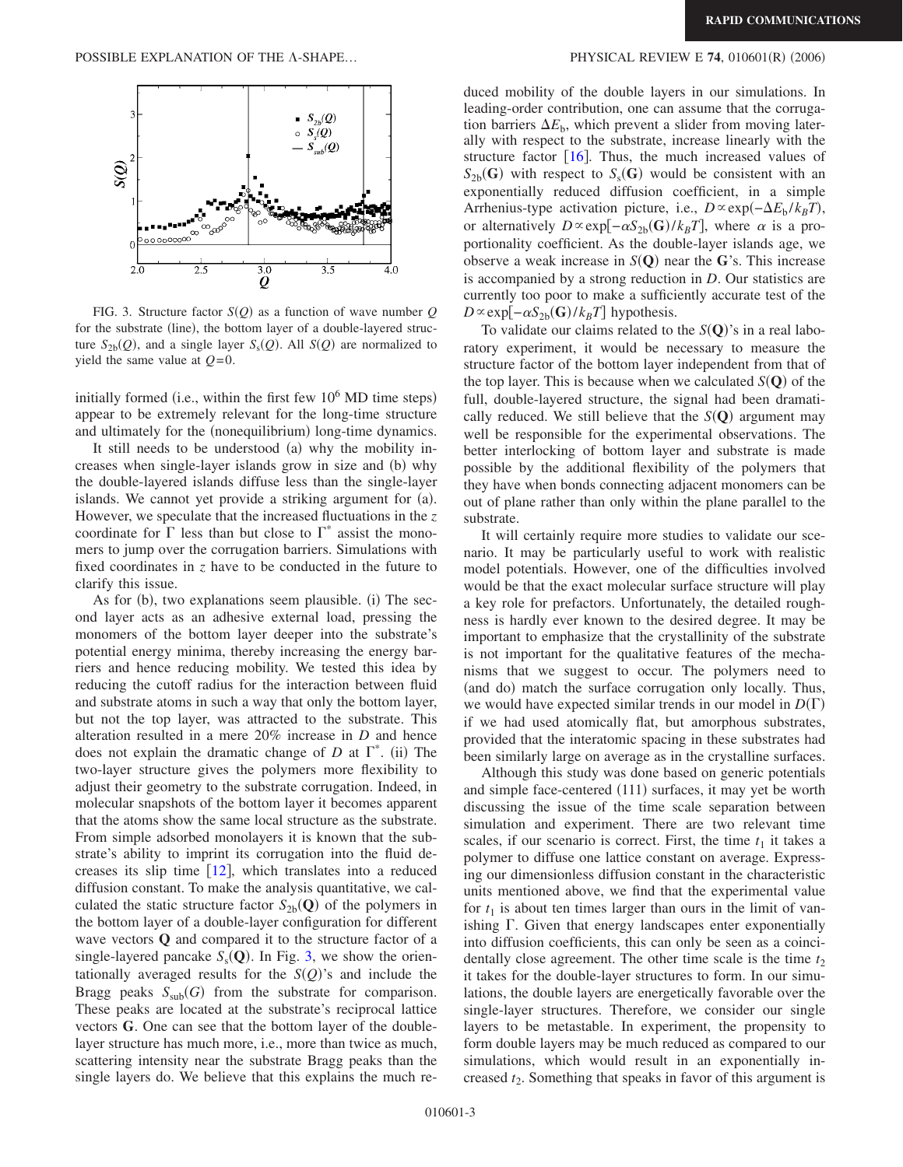<span id="page-2-0"></span>

FIG. 3. Structure factor  $S(Q)$  as a function of wave number  $Q$ for the substrate (line), the bottom layer of a double-layered structure  $S_{2b}(Q)$ , and a single layer  $S_s(Q)$ . All  $S(Q)$  are normalized to yield the same value at *Q*=0.

initially formed (i.e., within the first few  $10^6$  MD time steps) appear to be extremely relevant for the long-time structure and ultimately for the (nonequilibrium) long-time dynamics.

It still needs to be understood (a) why the mobility increases when single-layer islands grow in size and (b) why the double-layered islands diffuse less than the single-layer islands. We cannot yet provide a striking argument for (a). However, we speculate that the increased fluctuations in the *z* coordinate for  $\Gamma$  less than but close to  $\Gamma^*$  assist the monomers to jump over the corrugation barriers. Simulations with fixed coordinates in *z* have to be conducted in the future to clarify this issue.

As for (b), two explanations seem plausible. (i) The second layer acts as an adhesive external load, pressing the monomers of the bottom layer deeper into the substrate's potential energy minima, thereby increasing the energy barriers and hence reducing mobility. We tested this idea by reducing the cutoff radius for the interaction between fluid and substrate atoms in such a way that only the bottom layer, but not the top layer, was attracted to the substrate. This alteration resulted in a mere 20% increase in *D* and hence does not explain the dramatic change of  $D$  at  $\Gamma^*$ . (ii) The two-layer structure gives the polymers more flexibility to adjust their geometry to the substrate corrugation. Indeed, in molecular snapshots of the bottom layer it becomes apparent that the atoms show the same local structure as the substrate. From simple adsorbed monolayers it is known that the substrate's ability to imprint its corrugation into the fluid decreases its slip time  $\lceil 12 \rceil$  $\lceil 12 \rceil$  $\lceil 12 \rceil$ , which translates into a reduced diffusion constant. To make the analysis quantitative, we calculated the static structure factor  $S_{2b}(Q)$  of the polymers in the bottom layer of a double-layer configuration for different wave vectors **Q** and compared it to the structure factor of a single-layered pancake  $S_s(Q)$ . In Fig. [3,](#page-2-0) we show the orientationally averaged results for the  $S(Q)$ 's and include the Bragg peaks  $S_{sub}(G)$  from the substrate for comparison. These peaks are located at the substrate's reciprocal lattice vectors **G**. One can see that the bottom layer of the doublelayer structure has much more, i.e., more than twice as much, scattering intensity near the substrate Bragg peaks than the single layers do. We believe that this explains the much re-

## $(2006)$

duced mobility of the double layers in our simulations. In leading-order contribution, one can assume that the corrugation barriers  $\Delta E_{\rm b}$ , which prevent a slider from moving laterally with respect to the substrate, increase linearly with the structure factor  $[16]$  $[16]$  $[16]$ . Thus, the much increased values of  $S_{2b}$ **G**) with respect to  $S_s$ **G**) would be consistent with an exponentially reduced diffusion coefficient, in a simple Arrhenius-type activation picture, i.e., *D*∝exp(-Δ*E*<sub>b</sub>/*k<sub>B</sub>T*), or alternatively  $D \propto \exp[-\alpha S_{2b}(\mathbf{G})/k_B T]$ , where  $\alpha$  is a proportionality coefficient. As the double-layer islands age, we observe a weak increase in  $S(Q)$  near the G's. This increase is accompanied by a strong reduction in *D*. Our statistics are currently too poor to make a sufficiently accurate test of the  $D \propto \exp[-\alpha S_{2b}(\mathbf{G})/k_BT]$  hypothesis.

To validate our claims related to the  $S(Q)$ 's in a real laboratory experiment, it would be necessary to measure the structure factor of the bottom layer independent from that of the top layer. This is because when we calculated  $S(Q)$  of the full, double-layered structure, the signal had been dramatically reduced. We still believe that the  $S(Q)$  argument may well be responsible for the experimental observations. The better interlocking of bottom layer and substrate is made possible by the additional flexibility of the polymers that they have when bonds connecting adjacent monomers can be out of plane rather than only within the plane parallel to the substrate.

It will certainly require more studies to validate our scenario. It may be particularly useful to work with realistic model potentials. However, one of the difficulties involved would be that the exact molecular surface structure will play a key role for prefactors. Unfortunately, the detailed roughness is hardly ever known to the desired degree. It may be important to emphasize that the crystallinity of the substrate is not important for the qualitative features of the mechanisms that we suggest to occur. The polymers need to (and do) match the surface corrugation only locally. Thus, we would have expected similar trends in our model in  $D(\Gamma)$ if we had used atomically flat, but amorphous substrates, provided that the interatomic spacing in these substrates had been similarly large on average as in the crystalline surfaces.

Although this study was done based on generic potentials and simple face-centered (111) surfaces, it may yet be worth discussing the issue of the time scale separation between simulation and experiment. There are two relevant time scales, if our scenario is correct. First, the time  $t_1$  it takes a polymer to diffuse one lattice constant on average. Expressing our dimensionless diffusion constant in the characteristic units mentioned above, we find that the experimental value for  $t_1$  is about ten times larger than ours in the limit of vanishing  $\Gamma$ . Given that energy landscapes enter exponentially into diffusion coefficients, this can only be seen as a coincidentally close agreement. The other time scale is the time  $t_2$ it takes for the double-layer structures to form. In our simulations, the double layers are energetically favorable over the single-layer structures. Therefore, we consider our single layers to be metastable. In experiment, the propensity to form double layers may be much reduced as compared to our simulations, which would result in an exponentially increased  $t_2$ . Something that speaks in favor of this argument is